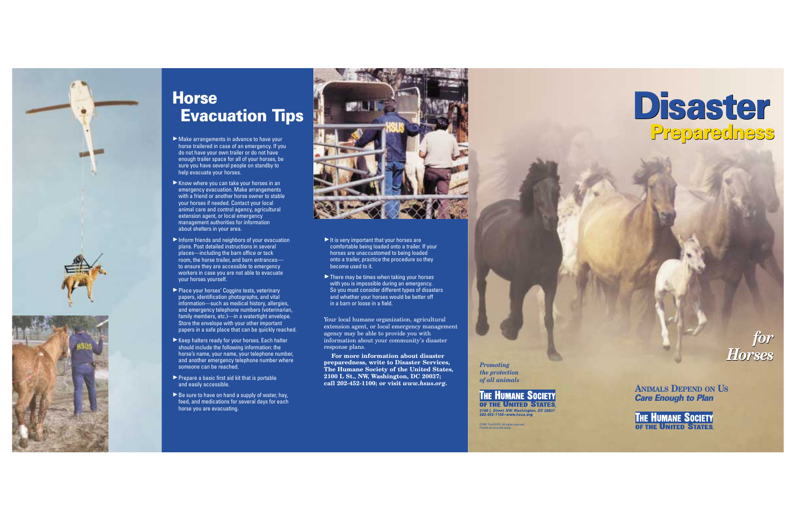

©2001 The HSUS. All rights reserved. Printed on recycled paper.



**THE HUMANE SOCIETY** OF THE UNITED STATES 2100 L Street, NW, Washington, DC 2003<br>202-452-1100 - www.hsus.org

**ANIMALS DEPEND ON US** *Care Enough to Plan*

**THE HUMANE SOCIETY** OF THE UNITED STATES



## **Horse Evacuation Tips**

- ▶ Make arrangements in advance to have your horse trailered in case of an emergency. If you do not have your own trailer or do not have enough trailer space for all of your horses, be sure you have several people on standby to help evacuate your horses.
- $\blacktriangleright$  Know where you can take your horses in an emergency evacuation. Make arrangements with a friend or another horse owner to stable your horses if needed. Contact your local animal care and control agency, agricultural extension agent, or local emergency management authorities for information about shelters in your area.
- $\blacktriangleright$  Inform friends and neighbors of your evacuation plans. Post detailed instructions in several places—including the barn office or tack room, the horse trailer, and barn entrances to ensure they are accessible to emergency workers in case you are not able to evacuate your horses yourself.
- ▶ Place your horses' Coggins tests, veterinary papers, identification photographs, and vital information—such as medical history, allergies, and emergency telephone numbers (veterinarian, family members, etc.)—in a watertight envelope. Store the envelope with your other important papers in a safe place that can be quickly reached.
- $\blacktriangleright$  Keep halters ready for your horses. Each halter should include the following information: the horse's name, your name, your telephone number, and another emergency telephone number where someone can be reached.
- $\blacktriangleright$  Prepare a basic first aid kit that is portable and easily accessible.
- $\blacktriangleright$  Be sure to have on hand a supply of water, hay, feed, and medications for several days for each horse you are evacuating.



- $\blacktriangleright$  It is very important that your horses are comfortable being loaded onto a trailer. If your horses are unaccustomed to being loaded onto a trailer, practice the procedure so they become used to it.
- $\blacktriangleright$  There may be times when taking your horses with you is impossible during an emergency. So you must consider different types of disasters and whether your horses would be better off in a barn or loose in a field.

Your local humane organization, agricultural extension agent, or local emergency management agency may be able to provide you with information about your community's disaster response plans.

**For more information about disaster preparedness, write to Disaster Services, The Humane Society of the United States, 2100 L St., NW, Washington, DC 20037; call 202-452-1100; or visit** *www.hsus.org.*

# **Disaster Disaster Preparedness Preparedness**